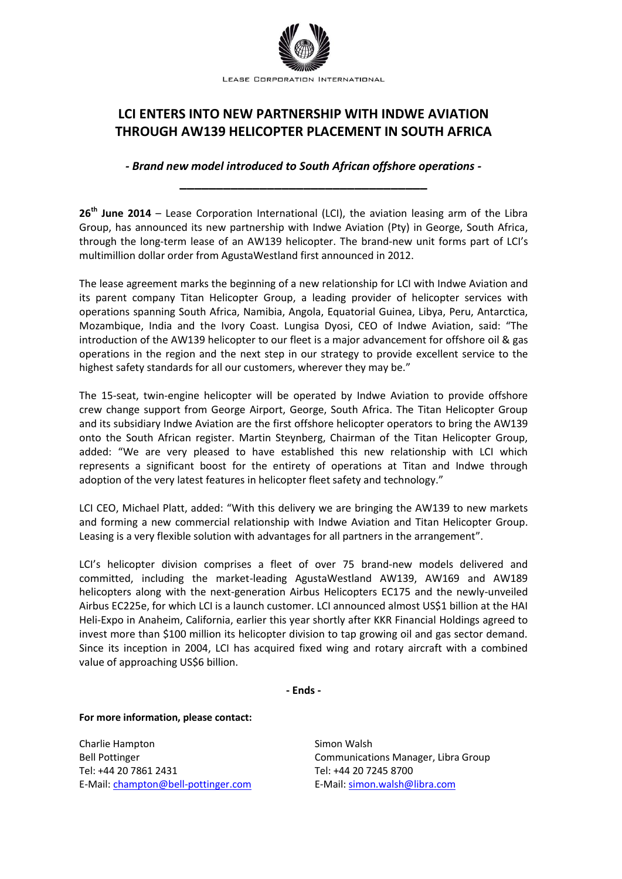

## **LCI ENTERS INTO NEW PARTNERSHIP WITH INDWE AVIATION THROUGH AW139 HELICOPTER PLACEMENT IN SOUTH AFRICA**

*- Brand new model introduced to South African offshore operations -* **\_\_\_\_\_\_\_\_\_\_\_\_\_\_\_\_\_\_\_\_\_\_\_\_\_\_\_\_\_\_\_\_\_\_**

**26th June 2014** – Lease Corporation International (LCI), the aviation leasing arm of the Libra Group, has announced its new partnership with Indwe Aviation (Pty) in George, South Africa, through the long-term lease of an AW139 helicopter. The brand-new unit forms part of LCI's multimillion dollar order from AgustaWestland first announced in 2012.

The lease agreement marks the beginning of a new relationship for LCI with Indwe Aviation and its parent company Titan Helicopter Group, a leading provider of helicopter services with operations spanning South Africa, Namibia, Angola, Equatorial Guinea, Libya, Peru, Antarctica, Mozambique, India and the Ivory Coast. Lungisa Dyosi, CEO of Indwe Aviation, said: "The introduction of the AW139 helicopter to our fleet is a major advancement for offshore oil & gas operations in the region and the next step in our strategy to provide excellent service to the highest safety standards for all our customers, wherever they may be."

The 15-seat, twin-engine helicopter will be operated by Indwe Aviation to provide offshore crew change support from George Airport, George, South Africa. The Titan Helicopter Group and its subsidiary Indwe Aviation are the first offshore helicopter operators to bring the AW139 onto the South African register. Martin Steynberg, Chairman of the Titan Helicopter Group, added: "We are very pleased to have established this new relationship with LCI which represents a significant boost for the entirety of operations at Titan and Indwe through adoption of the very latest features in helicopter fleet safety and technology."

LCI CEO, Michael Platt, added: "With this delivery we are bringing the AW139 to new markets and forming a new commercial relationship with Indwe Aviation and Titan Helicopter Group. Leasing is a very flexible solution with advantages for all partners in the arrangement".

LCI's helicopter division comprises a fleet of over 75 brand-new models delivered and committed, including the market-leading AgustaWestland AW139, AW169 and AW189 helicopters along with the next-generation Airbus Helicopters EC175 and the newly-unveiled Airbus EC225e, for which LCI is a launch customer. LCI announced almost US\$1 billion at the HAI Heli-Expo in Anaheim, California, earlier this year shortly after KKR Financial Holdings agreed to invest more than \$100 million its helicopter division to tap growing oil and gas sector demand. Since its inception in 2004, LCI has acquired fixed wing and rotary aircraft with a combined value of approaching US\$6 billion.

**- Ends -**

**For more information, please contact:**

Charlie Hampton Bell Pottinger Tel: +44 20 7861 2431 E-Mail: [champton@bell-pottinger.com](mailto:champton@bell-pottinger.com)

Simon Walsh Communications Manager, Libra Group Tel: +44 20 7245 8700 E-Mail[: simon.walsh@libra.com](mailto:gareth.zundel@libra.com)